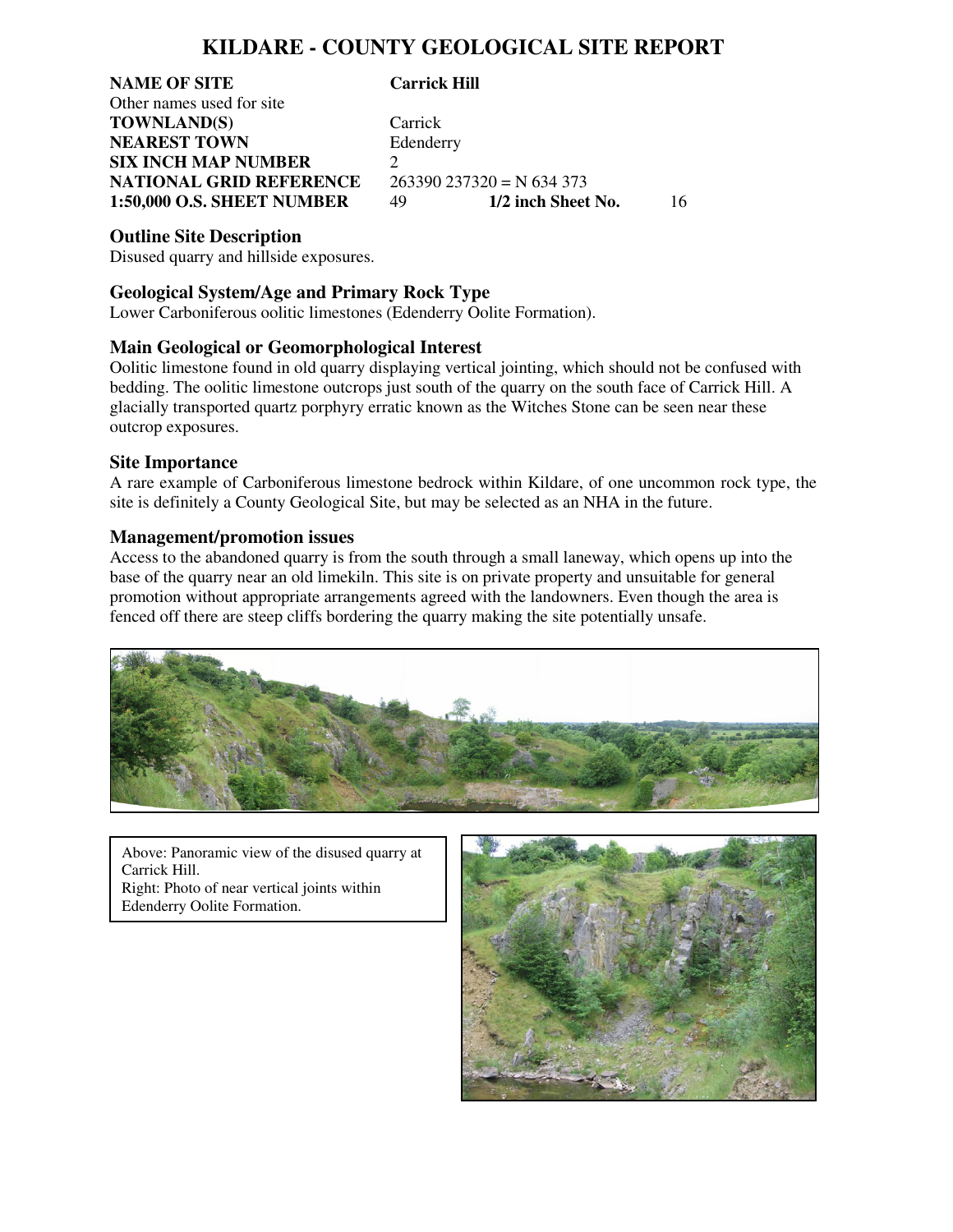# **KILDARE - COUNTY GEOLOGICAL SITE REPORT**

**NAME OF SITE Carrick Hill**  Other names used for site **TOWNLAND(S)** Carrick **NEAREST TOWN Edenderry SIX INCH MAP NUMBER** 2 **NATIONAL GRID REFERENCE** 263390 237320 = N 634 373<br>1:50,000 O.S. SHEET NUMBER 49 1/2 inch Sheet No.

**1:50,000 O.S. SHEET NUMBER** 49 **1/2 inch Sheet No.** 16

**Outline Site Description**

Disused quarry and hillside exposures.

## **Geological System/Age and Primary Rock Type**

Lower Carboniferous oolitic limestones (Edenderry Oolite Formation).

### **Main Geological or Geomorphological Interest**

Oolitic limestone found in old quarry displaying vertical jointing, which should not be confused with bedding. The oolitic limestone outcrops just south of the quarry on the south face of Carrick Hill. A glacially transported quartz porphyry erratic known as the Witches Stone can be seen near these outcrop exposures.

#### **Site Importance**

A rare example of Carboniferous limestone bedrock within Kildare, of one uncommon rock type, the site is definitely a County Geological Site, but may be selected as an NHA in the future.

#### **Management/promotion issues**

Access to the abandoned quarry is from the south through a small laneway, which opens up into the base of the quarry near an old limekiln. This site is on private property and unsuitable for general promotion without appropriate arrangements agreed with the landowners. Even though the area is fenced off there are steep cliffs bordering the quarry making the site potentially unsafe.



Above: Panoramic view of the disused quarry at Carrick Hill. Right: Photo of near vertical joints within Edenderry Oolite Formation.